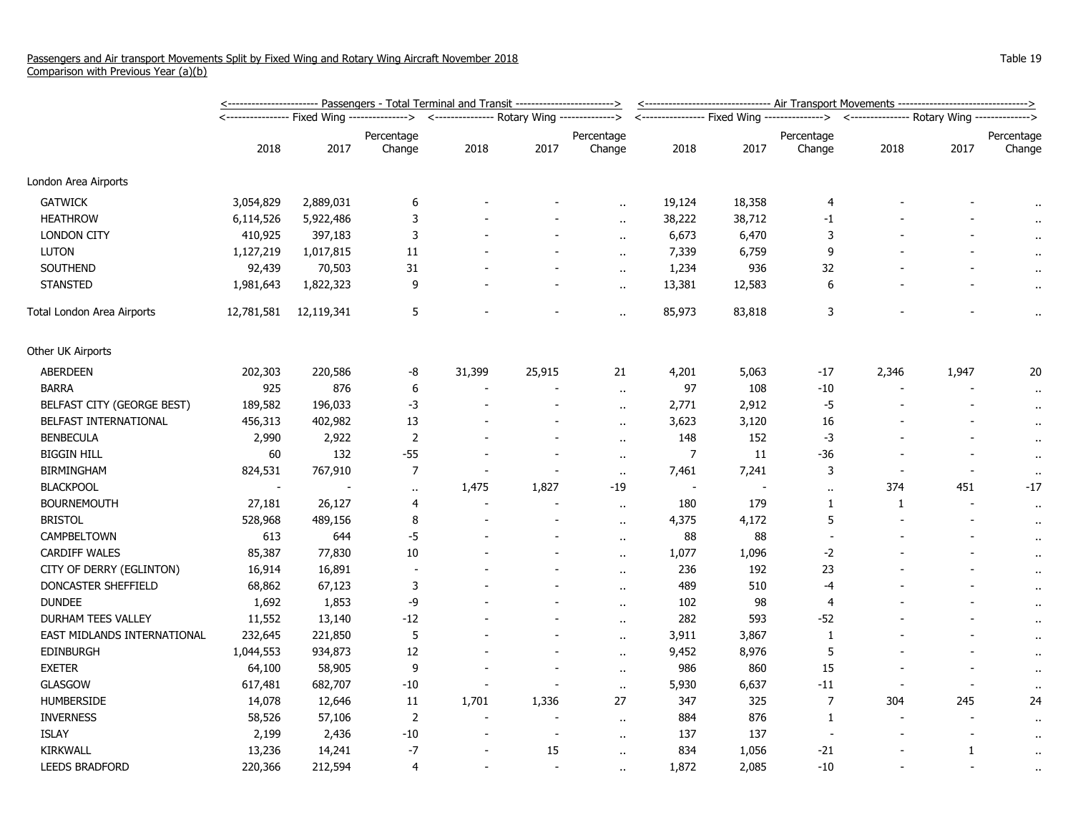|                             | <u>&lt;----------------------- Passengers - Total Terminal and Transit ------------------------&gt;</u> |            |                                              |                |                          |                          |                | <-------------------------------- Air Transport Movements -------------------------------> |                      |                          |       |                      |  |
|-----------------------------|---------------------------------------------------------------------------------------------------------|------------|----------------------------------------------|----------------|--------------------------|--------------------------|----------------|--------------------------------------------------------------------------------------------|----------------------|--------------------------|-------|----------------------|--|
|                             |                                                                                                         |            | <--------------- Rotary Wing --------------> |                |                          |                          |                | <---------------- Fixed Wing --------------> <--------------- Rotary Wing ------------->   |                      |                          |       |                      |  |
|                             |                                                                                                         |            | Percentage                                   |                |                          | Percentage               |                |                                                                                            | Percentage           |                          |       | Percentage           |  |
|                             | 2018                                                                                                    | 2017       | Change                                       | 2018           | 2017                     | Change                   | 2018           | 2017                                                                                       | Change               | 2018                     | 2017  | Change               |  |
| London Area Airports        |                                                                                                         |            |                                              |                |                          |                          |                |                                                                                            |                      |                          |       |                      |  |
| <b>GATWICK</b>              | 3,054,829                                                                                               | 2,889,031  | 6                                            |                |                          |                          | 19,124         | 18,358                                                                                     | 4                    |                          |       |                      |  |
| <b>HEATHROW</b>             | 6,114,526                                                                                               | 5,922,486  | 3                                            |                |                          | $\ddot{\phantom{a}}$     | 38,222         | 38,712                                                                                     | $-1$                 |                          |       |                      |  |
| <b>LONDON CITY</b>          | 410,925                                                                                                 | 397,183    | 3                                            |                |                          | $\ddot{\phantom{a}}$     | 6,673          | 6,470                                                                                      | 3                    |                          |       |                      |  |
| <b>LUTON</b>                | 1,127,219                                                                                               | 1,017,815  | 11                                           |                |                          | $\overline{\phantom{a}}$ | 7,339          | 6,759                                                                                      | 9                    |                          |       |                      |  |
| SOUTHEND                    | 92,439                                                                                                  | 70,503     | 31                                           |                |                          | $\ddot{\phantom{a}}$     | 1,234          | 936                                                                                        | 32                   |                          |       | $\ddot{\phantom{1}}$ |  |
| <b>STANSTED</b>             | 1,981,643                                                                                               | 1,822,323  | 9                                            |                |                          | $\ddot{\phantom{a}}$     | 13,381         | 12,583                                                                                     | 6                    |                          |       | $\ddot{\phantom{1}}$ |  |
| Total London Area Airports  | 12,781,581                                                                                              | 12,119,341 | 5                                            |                |                          | Ω.                       | 85,973         | 83,818                                                                                     | $\mathbf{3}$         |                          |       | .,                   |  |
| Other UK Airports           |                                                                                                         |            |                                              |                |                          |                          |                |                                                                                            |                      |                          |       |                      |  |
| <b>ABERDEEN</b>             | 202,303                                                                                                 | 220,586    | -8                                           | 31,399         | 25,915                   | 21                       | 4,201          | 5,063                                                                                      | $-17$                | 2,346                    | 1,947 | 20                   |  |
| <b>BARRA</b>                | 925                                                                                                     | 876        | 6                                            |                |                          | $\ddot{\phantom{a}}$     | 97             | 108                                                                                        | $-10$                |                          |       | $\cdot$              |  |
| BELFAST CITY (GEORGE BEST)  | 189,582                                                                                                 | 196,033    | $-3$                                         |                |                          | $\overline{\phantom{a}}$ | 2,771          | 2,912                                                                                      | $-5$                 |                          |       | $\ddot{\phantom{1}}$ |  |
| BELFAST INTERNATIONAL       | 456,313                                                                                                 | 402,982    | 13                                           |                |                          | $\ddot{\phantom{1}}$     | 3,623          | 3,120                                                                                      | 16                   |                          |       | $\ddot{\phantom{1}}$ |  |
| <b>BENBECULA</b>            | 2,990                                                                                                   | 2,922      | 2                                            |                |                          | $\ddot{\phantom{a}}$     | 148            | 152                                                                                        | -3                   |                          |       | $\cdot$              |  |
| <b>BIGGIN HILL</b>          | 60                                                                                                      | 132        | $-55$                                        |                | $\overline{\phantom{a}}$ | $\ddot{\phantom{a}}$     | $\overline{7}$ | 11                                                                                         | -36                  |                          |       | $\ddot{\phantom{1}}$ |  |
| <b>BIRMINGHAM</b>           | 824,531                                                                                                 | 767,910    | 7                                            |                |                          | $\bullet$ .              | 7,461          | 7,241                                                                                      | 3                    |                          |       | $\sim$               |  |
| <b>BLACKPOOL</b>            |                                                                                                         |            | $\sim$                                       | 1,475          | 1,827                    | $-19$                    | $\sim$         |                                                                                            | $\ddot{\phantom{a}}$ | 374                      | 451   | $-17$                |  |
| <b>BOURNEMOUTH</b>          | 27,181                                                                                                  | 26,127     | 4                                            |                |                          | $\ddot{\phantom{a}}$     | 180            | 179                                                                                        | 1                    | 1                        |       | $\ddot{\phantom{1}}$ |  |
| <b>BRISTOL</b>              | 528,968                                                                                                 | 489,156    | 8                                            |                |                          | $\ddot{\phantom{a}}$     | 4,375          | 4,172                                                                                      | 5                    |                          |       | $\cdot$              |  |
| CAMPBELTOWN                 | 613                                                                                                     | 644        | $-5$                                         |                |                          | $\mathbf{r}$ .           | 88             | 88                                                                                         | $\sim$               |                          |       | $\cdot$              |  |
| <b>CARDIFF WALES</b>        | 85,387                                                                                                  | 77,830     | $10\,$                                       |                |                          | $\ddot{\phantom{a}}$     | 1,077          | 1,096                                                                                      | $-2$                 |                          |       | $\ddot{\phantom{0}}$ |  |
| CITY OF DERRY (EGLINTON)    | 16,914                                                                                                  | 16,891     |                                              |                |                          | $\ddot{\phantom{1}}$     | 236            | 192                                                                                        | 23                   |                          |       | $\ddot{\phantom{1}}$ |  |
| DONCASTER SHEFFIELD         | 68,862                                                                                                  | 67,123     | 3                                            |                |                          | $\mathbf{r}$ .           | 489            | 510                                                                                        | $-4$                 |                          |       | $\ddot{\phantom{1}}$ |  |
| <b>DUNDEE</b>               | 1,692                                                                                                   | 1,853      | -9                                           |                |                          | $\ddot{\phantom{a}}$     | 102            | 98                                                                                         | $\overline{4}$       |                          |       | $\ddot{\phantom{1}}$ |  |
| DURHAM TEES VALLEY          | 11,552                                                                                                  | 13,140     | $-12$                                        |                |                          | $\ddot{\phantom{a}}$     | 282            | 593                                                                                        | -52                  |                          |       | $\ddot{\phantom{1}}$ |  |
| EAST MIDLANDS INTERNATIONAL | 232,645                                                                                                 | 221,850    | 5                                            |                |                          | ٠.                       | 3,911          | 3,867                                                                                      | 1                    |                          |       | $\cdot$              |  |
| <b>EDINBURGH</b>            | 1,044,553                                                                                               | 934,873    | 12                                           |                |                          | $\ddot{\phantom{a}}$     | 9,452          | 8,976                                                                                      | 5                    |                          |       | $\ddot{\phantom{0}}$ |  |
| <b>EXETER</b>               | 64,100                                                                                                  | 58,905     | 9                                            |                |                          | $\sim$                   | 986            | 860                                                                                        | 15                   |                          |       | $\ddot{\phantom{1}}$ |  |
| <b>GLASGOW</b>              | 617,481                                                                                                 | 682,707    | -10                                          |                |                          | $\ddot{\phantom{a}}$     | 5,930          | 6,637                                                                                      | $-11$                | $\blacksquare$           |       |                      |  |
| <b>HUMBERSIDE</b>           | 14,078                                                                                                  | 12,646     | 11                                           | 1,701          | 1,336                    | 27                       | 347            | 325                                                                                        | $\overline{7}$       | 304                      | 245   | 24                   |  |
| <b>INVERNESS</b>            | 58,526                                                                                                  | 57,106     | $\overline{2}$                               | $\blacksquare$ |                          | $\ddot{\phantom{a}}$     | 884            | 876                                                                                        | 1                    | $\overline{\phantom{a}}$ |       | $\ddot{\phantom{1}}$ |  |
| <b>ISLAY</b>                | 2,199                                                                                                   | 2,436      | -10                                          |                |                          | $\mathbf{r}$ .           | 137            | 137                                                                                        |                      |                          |       | $\ddot{\phantom{1}}$ |  |
| KIRKWALL                    | 13,236                                                                                                  | 14,241     | $-7$                                         |                | 15                       | $\ddot{\phantom{a}}$     | 834            | 1,056                                                                                      | -21                  |                          | 1     | $\ddot{\phantom{1}}$ |  |
| <b>LEEDS BRADFORD</b>       | 220,366                                                                                                 | 212,594    | 4                                            |                |                          | $\ddot{\phantom{a}}$     | 1,872          | 2,085                                                                                      | $-10$                |                          |       | $\ddot{\phantom{1}}$ |  |